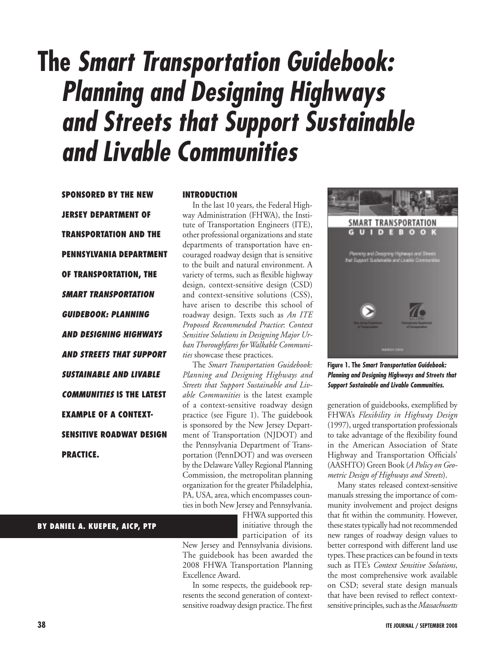# **The** *Smart Transportation Guidebook: Planning and Designing Highways and Streets that Support Sustainable and Livable Communities*

**Sponsored by the New Jersey Department of Transportation and the Pennsylvania Department of Transportation, the**  *Smart Transportation Guidebook: Planning and Designing Highways and Streets that Support Sustainable and Livable Communities* **is the latest example of a contextsensitive roadway design practice.**

#### **Introduction**

In the last 10 years, the Federal Highway Administration (FHWA), the Institute of Transportation Engineers (ITE), other professional organizations and state departments of transportation have encouraged roadway design that is sensitive to the built and natural environment. A variety of terms, such as flexible highway design, context-sensitive design (CSD) and context-sensitive solutions (CSS), have arisen to describe this school of roadway design. Texts such as *An ITE Proposed Recommended Practice*: *Context Sensitive Solutions in Designing Major Urban Thoroughfares for Walkable Communities* showcase these practices.

The *Smart Transportation Guidebook: Planning and Designing Highways and Streets that Support Sustainable and Livable Communities* is the latest example of a context-sensitive roadway design practice (see Figure 1). The guidebook is sponsored by the New Jersey Department of Transportation (NJDOT) and the Pennsylvania Department of Transportation (PennDOT) and was overseen by the Delaware Valley Regional Planning Commission, the metropolitan planning organization for the greater Philadelphia, PA, USA, area, which encompasses counties in both New Jersey and Pennsylvania.

> FHWA supported this initiative through the participation of its

New Jersey and Pennsylvania divisions. The guidebook has been awarded the 2008 FHWA Transportation Planning Excellence Award.

In some respects, the guidebook represents the second generation of contextsensitive roadway design practice. The first



**Figure 1. The** *Smart Transportation Guidebook: Planning and Designing Highways and Streets that Support Sustainable and Livable Communities.*

generation of guidebooks, exemplified by FHWA's *Flexibility in Highway Design* (1997), urged transportation professionals to take advantage of the flexibility found in the American Association of State Highway and Transportation Officials' (AASHTO) Green Book (*A Policy on Geometric Design of Highways and Streets*).

Many states released context-sensitive manuals stressing the importance of community involvement and project designs that fit within the community. However, these states typically had not recommended new ranges of roadway design values to better correspond with different land use types. These practices can be found in texts such as ITE's *Context Sensitive Solutions*, the most comprehensive work available on CSD; several state design manuals that have been revised to reflect contextsensitive principles, such as the *Massachusetts*

#### **38 ITE Journal / september 2008**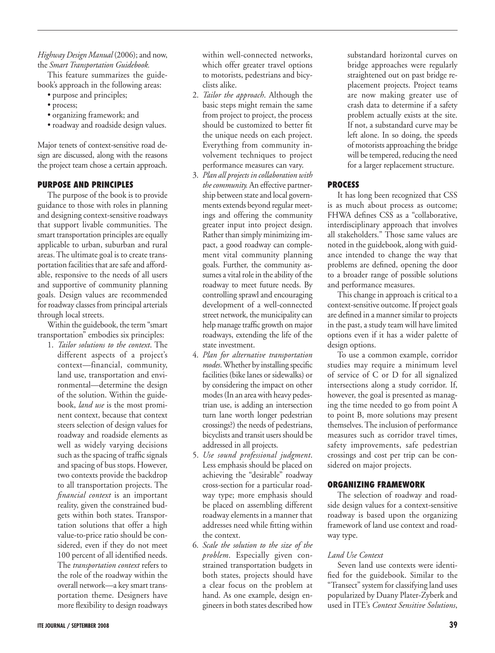### *Highway Design Manual* (2006); and now, the *Smart Transportation Guidebook.*

This feature summarizes the guidebook's approach in the following areas:

- purpose and principles;
- process;
- • organizing framework; and
- roadway and roadside design values.

Major tenets of context-sensitive road design are discussed, along with the reasons the project team chose a certain approach.

# **Purpose and Principles**

The purpose of the book is to provide guidance to those with roles in planning and designing context-sensitive roadways that support livable communities. The smart transportation principles are equally applicable to urban, suburban and rural areas. The ultimate goal is to create transportation facilities that are safe and affordable, responsive to the needs of all users and supportive of community planning goals. Design values are recommended for roadway classes from principal arterials through local streets.

Within the guidebook, the term "smart transportation" embodies six principles:

1. *Tailor solutions to the context*. The different aspects of a project's context—financial, community, land use, transportation and environmental—determine the design of the solution. Within the guidebook, *land use* is the most prominent context, because that context steers selection of design values for roadway and roadside elements as well as widely varying decisions such as the spacing of traffic signals and spacing of bus stops. However, two contexts provide the backdrop to all transportation projects. The *financial context* is an important reality, given the constrained budgets within both states. Transportation solutions that offer a high value-to-price ratio should be considered, even if they do not meet 100 percent of all identified needs. The *transportation context* refers to the role of the roadway within the overall network—a key smart transportation theme. Designers have more flexibility to design roadways

within well-connected networks, which offer greater travel options to motorists, pedestrians and bicyclists alike.

- 2. *Tailor the approach*. Although the basic steps might remain the same from project to project, the process should be customized to better fit the unique needs on each project. Everything from community involvement techniques to project performance measures can vary.
- 3. *Plan all projects in collaboration with the community.* An effective partnership between state and local governments extends beyond regular meetings and offering the community greater input into project design. Rather than simply minimizing impact, a good roadway can complement vital community planning goals. Further, the community assumes a vital role in the ability of the roadway to meet future needs. By controlling sprawl and encouraging development of a well-connected street network, the municipality can help manage traffic growth on major roadways, extending the life of the state investment.
- 4. *Plan for alternative transportation modes*. Whether by installing specific facilities (bike lanes or sidewalks) or by considering the impact on other modes (In an area with heavy pedestrian use, is adding an intersection turn lane worth longer pedestrian crossings?) the needs of pedestrians, bicyclists and transit users should be addressed in all projects.
- 5. *Use sound professional judgment*. Less emphasis should be placed on achieving the "desirable" roadway cross-section for a particular roadway type; more emphasis should be placed on assembling different roadway elements in a manner that addresses need while fitting within the context.
- 6. *Scale the solution to the size of the problem*. Especially given constrained transportation budgets in both states, projects should have a clear focus on the problem at hand. As one example, design engineers in both states described how

substandard horizontal curves on bridge approaches were regularly straightened out on past bridge replacement projects. Project teams are now making greater use of crash data to determine if a safety problem actually exists at the site. If not, a substandard curve may be left alone. In so doing, the speeds of motorists approaching the bridge will be tempered, reducing the need for a larger replacement structure.

# **Process**

It has long been recognized that CSS is as much about process as outcome; FHWA defines CSS as a "collaborative, interdisciplinary approach that involves all stakeholders." Those same values are noted in the guidebook, along with guidance intended to change the way that problems are defined, opening the door to a broader range of possible solutions and performance measures.

This change in approach is critical to a context-sensitive outcome. If project goals are defined in a manner similar to projects in the past, a study team will have limited options even if it has a wider palette of design options.

To use a common example, corridor studies may require a minimum level of service of C or D for all signalized intersections along a study corridor. If, however, the goal is presented as managing the time needed to go from point A to point B, more solutions may present themselves. The inclusion of performance measures such as corridor travel times, safety improvements, safe pedestrian crossings and cost per trip can be considered on major projects.

# **Organizing Framework**

The selection of roadway and roadside design values for a context-sensitive roadway is based upon the organizing framework of land use context and roadway type.

# *Land Use Context*

Seven land use contexts were identified for the guidebook. Similar to the "Transect" system for classifying land uses popularized by Duany Plater-Zyberk and used in ITE's *Context Sensitive Solutions*,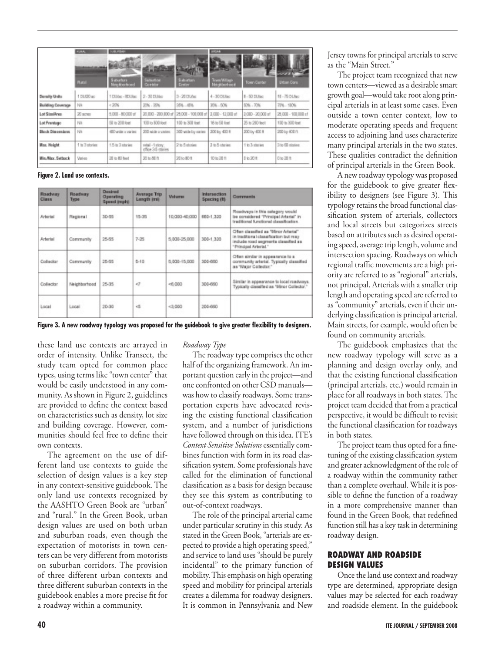|                          | <b>DOM:</b><br>an and a | \$50,000<br>通信者<br><b>DESCRIPTION</b> |                                      | <b>Though!</b>                | <b>BOOM</b><br><b>PARTIES</b><br><b><i><u>PARTICIPATE</u></i></b> |                   |                     |
|--------------------------|-------------------------|---------------------------------------|--------------------------------------|-------------------------------|-------------------------------------------------------------------|-------------------|---------------------|
|                          | Russi                   | Suburban.<br>Neighborhoad             | <b>Grantine</b><br>Combitor          | Suburban.<br><b>Continent</b> | Town/Allians<br>Notables front                                    | Town Currich      | <b>Litten Corp.</b> |
| Density Units            | 1 DUGO ac               | 1 DUIsc - 8DUisc                      | 2-30 DUAH                            | 3-20 DUNE                     | 4-30 DUIsc                                                        | 8-50 DUNIC        | 16 - 75 DUNC        |
| <b>Building Coverage</b> | <b>NA</b>               | $-20%$                                | $20% - 30%$                          | 35%.0%                        | $30h - 60h$                                                       | $50% - 70%$       | 72% - 100%          |
| Lot SizziAncs            | 20 scress               | $-80000 - 80000$ of                   | 20.000 - 200.000 sf                  | 25.000 - 100.000 sf           | 3.000 - 12.000 of                                                 | 2.080 - 20.000 uf | 28.000 - 100.000 s1 |
| Lot Frentage             | <b>ISA</b>              | 50 to 200 feet                        | 100 to \$00 feet                     | 100 to 300 feet               | $16 \pm 51$ feat                                                  | 26 to 280 feet    | 100 to 300 feet     |
| <b>Diock Dimensions</b>  | <b>HA</b>               | 400 wide or started                   | 200 mide a varies.                   | 300 wide by ranks             | $200 \text{ by } 400 \text{ ft}$                                  | 200 by 400 ft     | 200 by 400 ft.      |
| Max. Holght              | 1 to 3 shories          | 1.5 to 3 stories                      | retail -1 story:<br>office 34-states | 2 to 5 stories.               | 2 to 5 staries                                                    | 1 to 3 stories    | 3 to 60 stories:    |
| Min. Allax, Setlasck     | Verien                  | 20 to 80 foot                         | 20 加强性                               | 20 to 80 ft.                  | 10 to 20 ft                                                       | P to 20 ft.       | 日知酒作                |

**Figure 2. Land use contexts.** 

| Roadvary<br><b>Class</b> | <b>Roadway</b><br>Type | <b>Desired</b><br>Operating<br>Speed (mph) | Average Trip<br>Length imit | <b>Volume</b>    | Intersection<br>Spacing (B) | <b>Correnants</b>                                                                                                                             |
|--------------------------|------------------------|--------------------------------------------|-----------------------------|------------------|-----------------------------|-----------------------------------------------------------------------------------------------------------------------------------------------|
| Arterial                 | Regional               | 30-55                                      | 15-35                       | 10.003-40.000    | 660-1.320                   | Roadways in this category would<br>be considered "Principal Arterial" in<br>traditional functional classification.                            |
| <b>Arterial</b>          | Community              | 25-55                                      | $7-25$                      | 5.000-25.000     | 300-1.320                   | Often classified as 'Minor Arterial'<br>in traditional classification but may<br>include road segments classified as<br>"Principal Arterial." |
| Collector                | Community              | 25-55                                      | $5 - 10$                    | $5,000 - 15,000$ | 300-660                     | Often similar in appearance to a<br>community arterial. Typically classified<br>as "Major Collector."                                         |
| Collector                | Neighborhood           | 25-35                                      | 47                          | $-0.000$         | 300-660                     | Similar in appearance to local roadvays.<br>Typically classified as "Minor Collector."                                                        |
| Local                    | Local                  | 20-30                                      | es.                         | $-3,000$         | 200-660                     |                                                                                                                                               |

**Figure 3. A new roadway typology was proposed for the guidebook to give greater flexibility to designers.**

these land use contexts are arrayed in order of intensity. Unlike Transect, the study team opted for common place types, using terms like "town center" that would be easily understood in any community. As shown in Figure 2, guidelines are provided to define the context based on characteristics such as density, lot size and building coverage. However, communities should feel free to define their own contexts.

The agreement on the use of different land use contexts to guide the selection of design values is a key step in any context-sensitive guidebook. The only land use contexts recognized by the AASHTO Green Book are "urban" and "rural." In the Green Book, urban design values are used on both urban and suburban roads, even though the expectation of motorists in town centers can be very different from motorists on suburban corridors. The provision of three different urban contexts and three different suburban contexts in the guidebook enables a more precise fit for a roadway within a community.

# *Roadway Type*

The roadway type comprises the other half of the organizing framework. An important question early in the project—and one confronted on other CSD manuals was how to classify roadways. Some transportation experts have advocated revising the existing functional classification system, and a number of jurisdictions have followed through on this idea. ITE's *Context Sensitive Solutions* essentially combines function with form in its road classification system. Some professionals have called for the elimination of functional classification as a basis for design because they see this system as contributing to out-of-context roadways.

The role of the principal arterial came under particular scrutiny in this study. As stated in the Green Book, "arterials are expected to provide a high operating speed," and service to land uses "should be purely incidental" to the primary function of mobility. This emphasis on high operating speed and mobility for principal arterials creates a dilemma for roadway designers. It is common in Pennsylvania and New

Jersey towns for principal arterials to serve as the "Main Street."

The project team recognized that new town centers—viewed as a desirable smart growth goal—would take root along principal arterials in at least some cases. Even outside a town center context, low to moderate operating speeds and frequent access to adjoining land uses characterize many principal arterials in the two states. These qualities contradict the definition of principal arterials in the Green Book.

A new roadway typology was proposed for the guidebook to give greater flexibility to designers (see Figure 3). This typology retains the broad functional classification system of arterials, collectors and local streets but categorizes streets based on attributes such as desired operating speed, average trip length, volume and intersection spacing. Roadways on which regional traffic movements are a high priority are referred to as "regional" arterials, not principal. Arterials with a smaller trip length and operating speed are referred to as "community" arterials, even if their underlying classification is principal arterial. Main streets, for example, would often be found on community arterials.

The guidebook emphasizes that the new roadway typology will serve as a planning and design overlay only, and that the existing functional classification (principal arterials, etc.) would remain in place for all roadways in both states. The project team decided that from a practical perspective, it would be difficult to revisit the functional classification for roadways in both states.

The project team thus opted for a finetuning of the existing classification system and greater acknowledgment of the role of a roadway within the community rather than a complete overhaul. While it is possible to define the function of a roadway in a more comprehensive manner than found in the Green Book, that redefined function still has a key task in determining roadway design.

### **Roadway and Roadside Design Values**

Once the land use context and roadway type are determined, appropriate design values may be selected for each roadway and roadside element. In the guidebook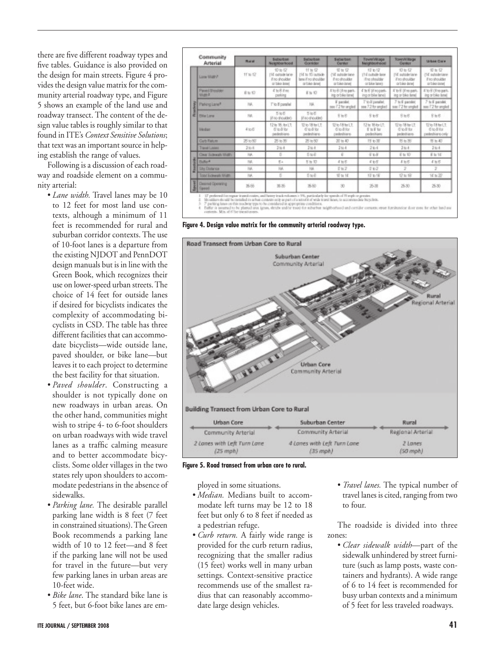there are five different roadway types and five tables. Guidance is also provided on the design for main streets. Figure 4 provides the design value matrix for the community arterial roadway type, and Figure 5 shows an example of the land use and roadway transect. The content of the design value tables is roughly similar to that found in ITE's *Context Sensitive Solutions*; that text was an important source in helping establish the range of values.

Following is a discussion of each roadway and roadside element on a community arterial:

- *Lane width*. Travel lanes may be 10 to 12 feet for most land use contexts, although a minimum of 11 feet is recommended for rural and suburban corridor contexts. The use of 10-foot lanes is a departure from the existing NJDOT and PennDOT design manuals but is in line with the Green Book, which recognizes their use on lower-speed urban streets. The choice of 14 feet for outside lanes if desired for bicyclists indicates the complexity of accommodating bicyclists in CSD. The table has three different facilities that can accommodate bicyclists—wide outside lane, paved shoulder, or bike lane—but leaves it to each project to determine the best facility for that situation.
- • *Paved shoulder*. Constructing a shoulder is not typically done on new roadways in urban areas. On the other hand, communities might wish to stripe 4- to 6-foot shoulders on urban roadways with wide travel lanes as a traffic calming measure and to better accommodate bicyclists. Some older villages in the two states rely upon shoulders to accommodate pedestrians in the absence of sidewalks.
- • *Parking lane.* The desirable parallel parking lane width is 8 feet (7 feet in constrained situations). The Green Book recommends a parking lane width of 10 to 12 feet—and 8 feet if the parking lane will not be used for travel in the future—but very few parking lanes in urban areas are 10-feet wide.
- • *Bike lane*. The standard bike lane is 5 feet, but 6-foot bike lanes are em-

|    | Community<br>Arterial           | <b>Rand</b> | Suburban<br>Neighborhood                                      | Suburban<br>Gostidas                                                    | Subarban<br>Center                                            | Town/Village<br>Neighborhood                                             | <b>TOMP/V/Rage</b><br>Genter                                            | <b>UISH CHY</b>                                        |
|----|---------------------------------|-------------|---------------------------------------------------------------|-------------------------------------------------------------------------|---------------------------------------------------------------|--------------------------------------------------------------------------|-------------------------------------------------------------------------|--------------------------------------------------------|
|    | Long Wight F                    | 11W12       | 10 to 12<br>[15 outside lane<br>Fre-freshire<br>or bike issel | <b>H to 42</b><br>110 to 15 centers<br>lans if no shoulder<br>arbie and | 受加权<br>(12) installed lane<br>if no shoulder<br>or bike lanel | 10' to 12'<br>17 E culturale laster<br>if no phoubties<br>or bike lands. | $10 \text{ to } 12$<br>[12 suitable lane<br>Froshoutlan<br>orbike lenel | 节加权<br>(10 indulatelate)<br>Froshouble<br>orbike-jaset |
|    | Panel Brosher<br><b>Video F</b> | Rt-10       | 4 10 8 8 mg<br>parking                                        | E to 10                                                                 | Elert Olive park-<br>ing or bike lane)                        | 4 h 6 (Freport-<br>ing or blue lane)                                     | IT to 5' (if no part.<br>ing or bike lane)                              | Alleg on for the AL<br>ing orbike land                 |
|    | Parking Lane <sup>1</sup>       | 166.        | T'io 8 parallel                                               | 196                                                                     | F paralet:<br>see i'2 for angled                              | T'it-li'parallel.<br>sea 7.2 for angled                                  | 7 to 8 pacoloc<br>sou 7.2 for ungled                                    | 7 to 8 paralel<br>see 7.2 for ongled                   |
| ĕΙ | <b>Eldar Long</b>               | 195.        | 5加長<br>If no d'ouble O.                                       | 5 <sub>0</sub><br>If no droubled                                        | $8 + 6$                                                       | 5.65                                                                     | $8 + 8$                                                                 | $8 + 6$                                                |
|    | <b>Skidar</b>                   | 4100        | 12 to 18, by LT.<br>6 to 8 for<br>pededirens                  | <b>世治陽細红</b><br>6'soli'lor.<br>pedestriere.                             | <b>United</b><br>6 to 8 for<br>pedeshians.                    | 12 to 18 lbs LT:<br>E to E for<br>pedeshians                             | 12 to 18 for LT.<br><b>G'iodi'ibs</b><br>pedestrans                     | 126 literit<br>6 to 8 for<br>pedestrians-tely          |
|    | Curb Ratum                      | 26 to 50    | 源加那                                                           | 28 to 50                                                                | 20 to 40                                                      | 片も面                                                                      | 节長期                                                                     | $T2 = 40$                                              |
|    | Transit Lanes                   | 30.4        | $3.56 - 4$                                                    | $344 - 4$                                                               | 344.4                                                         | 204                                                                      | $344 - 4$                                                               | 3444                                                   |
|    | Clear Submody Middle            | 104.        | s                                                             | $510 - 10$                                                              | $\overline{a}$                                                | 45H                                                                      | E to 10                                                                 | E to 16                                                |
|    | <b>Bullet</b>                   | Füll.       | E+                                                            | 5 h 10                                                                  | 本社長                                                           | 565                                                                      | $I \cup E$                                                              | 本当形                                                    |
|    | <b>Shi Distance</b>             | 166.        | NA                                                            | 10A                                                                     | 卫加之                                                           | 0.02                                                                     | 2                                                                       | z                                                      |
|    | Topy Sciences totals            | <b>ISK</b>  | s                                                             | 510                                                                     | 管复括                                                           | 持有權                                                                      | 设址统                                                                     | $10 \times 20$                                         |
|    | Desired Operating<br>& Speed    | 58          | 31.35                                                         | 35.60                                                                   | $30 -$                                                        | 25-30                                                                    | 25.30.                                                                  | $25-30$                                                |

**Figure 4. Design value matrix for the community arterial roadway type.**



| Urban Core                  | Suburban Center             | Rural             |
|-----------------------------|-----------------------------|-------------------|
| Community Arterial          | Community Arterial          | Regional Arterial |
| 2 Lanes with Left Turn Lane | 4 Lanes with Left Turn Lane | 2 Lanes           |
| $(25 \text{ mph})$          | $(35 \text{ mod})$          | (50 mph)          |

**Figure 5. Road transect from urban core to rural.**

ployed in some situations.

- *Median*. Medians built to accommodate left turns may be 12 to 18 feet but only 6 to 8 feet if needed as a pedestrian refuge.
- *Curb return*. A fairly wide range is provided for the curb return radius, recognizing that the smaller radius (15 feet) works well in many urban settings. Context-sensitive practice recommends use of the smallest radius that can reasonably accommodate large design vehicles.
- • *Travel lanes.* The typical number of travel lanes is cited, ranging from two to four.

The roadside is divided into three zones:

• *Clear sidewalk width*—part of the sidewalk unhindered by street furniture (such as lamp posts, waste containers and hydrants). A wide range of 6 to 14 feet is recommended for busy urban contexts and a minimum of 5 feet for less traveled roadways.